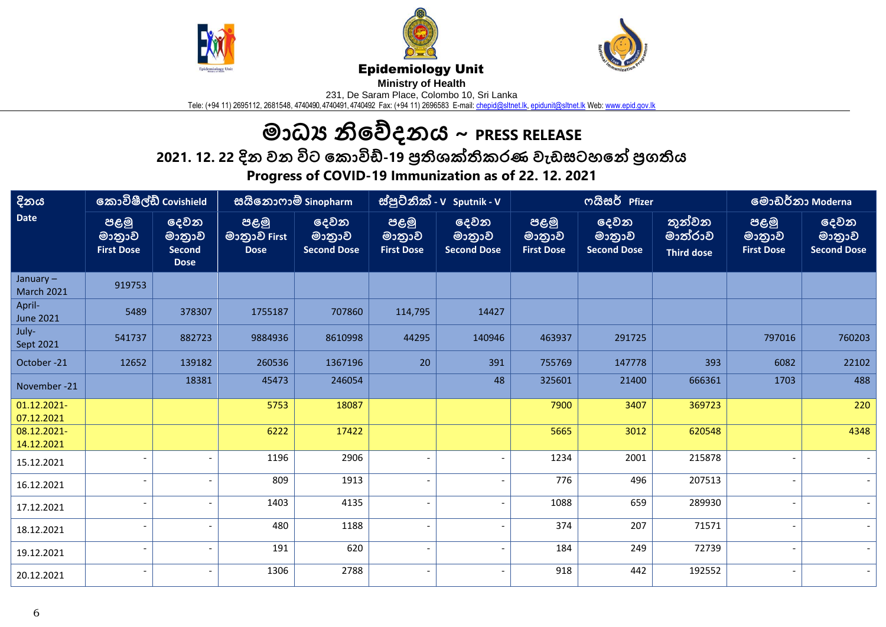





## Epidemiology Unit

**Ministry of Health** 

231, De Saram Place, Colombo 10, Sri Lanka

Tele: (+94 11) 2695112, 2681548, 4740490, 4740491, 4740492 Fax: (+94 11) 2696583 E-mail: <u>chepid@sltnet.lk, [epidunit@sltnet.lk](mailto:epidunit@sltnet.lk)</u> Web: <u>www.epid.gov.lk</u>

## **මාධ්ය නිවේදනය ~ PRESS RELEASE**

**2021. න12. 22 දිය නවය නවිට නේ ාවිඩ්-19 නප්රතිශක්තිශ ණ නවඩසටටනේ නප්රගතතිශ** 

**Progress of COVID-19 Immunization as of 22. 12. 2021**

| දිනය                          | කොවිෂීල්ඩ් Covishield               |                                                | සයිනොෆාම් Sinopharm                 |                                      | ස්පුට්නික් - V Sputnik - V          |                                      | ოයිසර් Pfizer                       |                                      |                                                | මොඩර්නා Moderna                     |                                      |
|-------------------------------|-------------------------------------|------------------------------------------------|-------------------------------------|--------------------------------------|-------------------------------------|--------------------------------------|-------------------------------------|--------------------------------------|------------------------------------------------|-------------------------------------|--------------------------------------|
| <b>Date</b>                   | පළමු<br>මාතුාව<br><b>First Dose</b> | දෙවන<br>මාතුාව<br><b>Second</b><br><b>Dose</b> | පළමු<br>මාතුාව First<br><b>Dose</b> | දෙවන<br>මාතුාව<br><b>Second Dose</b> | පළමු<br>මාතුාව<br><b>First Dose</b> | දෙවන<br>මාතුාව<br><b>Second Dose</b> | පළමු<br>මාතුාව<br><b>First Dose</b> | දෙවන<br>මාතුාව<br><b>Second Dose</b> | <u>තුන්වන </u><br>මාත්රාව<br><b>Third dose</b> | පළමු<br>මාතුාව<br><b>First Dose</b> | දෙවන<br>මාතුාව<br><b>Second Dose</b> |
| January-<br><b>March 2021</b> | 919753                              |                                                |                                     |                                      |                                     |                                      |                                     |                                      |                                                |                                     |                                      |
| April-<br><b>June 2021</b>    | 5489                                | 378307                                         | 1755187                             | 707860                               | 114,795                             | 14427                                |                                     |                                      |                                                |                                     |                                      |
| July-<br>Sept 2021            | 541737                              | 882723                                         | 9884936                             | 8610998                              | 44295                               | 140946                               | 463937                              | 291725                               |                                                | 797016                              | 760203                               |
| October-21                    | 12652                               | 139182                                         | 260536                              | 1367196                              | 20                                  | 391                                  | 755769                              | 147778                               | 393                                            | 6082                                | 22102                                |
| November -21                  |                                     | 18381                                          | 45473                               | 246054                               |                                     | 48                                   | 325601                              | 21400                                | 666361                                         | 1703                                | 488                                  |
| 01.12.2021-<br>07.12.2021     |                                     |                                                | 5753                                | 18087                                |                                     |                                      | 7900                                | 3407                                 | 369723                                         |                                     | 220                                  |
| 08.12.2021-<br>14.12.2021     |                                     |                                                | 6222                                | 17422                                |                                     |                                      | 5665                                | 3012                                 | 620548                                         |                                     | 4348                                 |
| 15.12.2021                    | $\overline{\phantom{a}}$            |                                                | 1196                                | 2906                                 |                                     | $\overline{\phantom{a}}$             | 1234                                | 2001                                 | 215878                                         |                                     |                                      |
| 16.12.2021                    | $\overline{\phantom{a}}$            |                                                | 809                                 | 1913                                 |                                     | $\overline{\phantom{a}}$             | 776                                 | 496                                  | 207513                                         |                                     |                                      |
| 17.12.2021                    |                                     |                                                | 1403                                | 4135                                 |                                     |                                      | 1088                                | 659                                  | 289930                                         |                                     |                                      |
| 18.12.2021                    |                                     |                                                | 480                                 | 1188                                 |                                     | $\overline{\phantom{a}}$             | 374                                 | 207                                  | 71571                                          |                                     |                                      |
| 19.12.2021                    | $\overline{\phantom{a}}$            |                                                | 191                                 | 620                                  |                                     | $\overline{\phantom{a}}$             | 184                                 | 249                                  | 72739                                          |                                     |                                      |
| 20.12.2021                    |                                     |                                                | 1306                                | 2788                                 |                                     |                                      | 918                                 | 442                                  | 192552                                         |                                     |                                      |